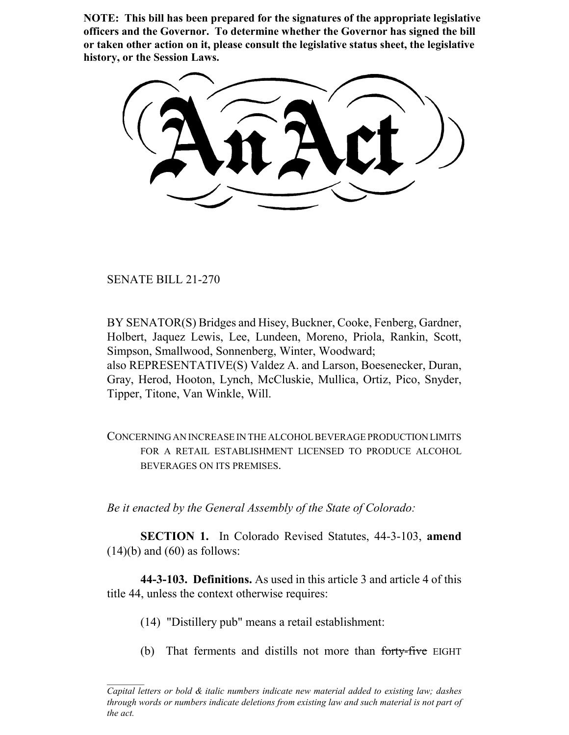**NOTE: This bill has been prepared for the signatures of the appropriate legislative officers and the Governor. To determine whether the Governor has signed the bill or taken other action on it, please consult the legislative status sheet, the legislative history, or the Session Laws.**

SENATE BILL 21-270

BY SENATOR(S) Bridges and Hisey, Buckner, Cooke, Fenberg, Gardner, Holbert, Jaquez Lewis, Lee, Lundeen, Moreno, Priola, Rankin, Scott, Simpson, Smallwood, Sonnenberg, Winter, Woodward; also REPRESENTATIVE(S) Valdez A. and Larson, Boesenecker, Duran, Gray, Herod, Hooton, Lynch, McCluskie, Mullica, Ortiz, Pico, Snyder, Tipper, Titone, Van Winkle, Will.

CONCERNING AN INCREASE IN THE ALCOHOL BEVERAGE PRODUCTION LIMITS FOR A RETAIL ESTABLISHMENT LICENSED TO PRODUCE ALCOHOL BEVERAGES ON ITS PREMISES.

*Be it enacted by the General Assembly of the State of Colorado:*

**SECTION 1.** In Colorado Revised Statutes, 44-3-103, **amend**  $(14)(b)$  and  $(60)$  as follows:

**44-3-103. Definitions.** As used in this article 3 and article 4 of this title 44, unless the context otherwise requires:

- (14) "Distillery pub" means a retail establishment:
- (b) That ferments and distills not more than forty-five EIGHT

*Capital letters or bold & italic numbers indicate new material added to existing law; dashes through words or numbers indicate deletions from existing law and such material is not part of the act.*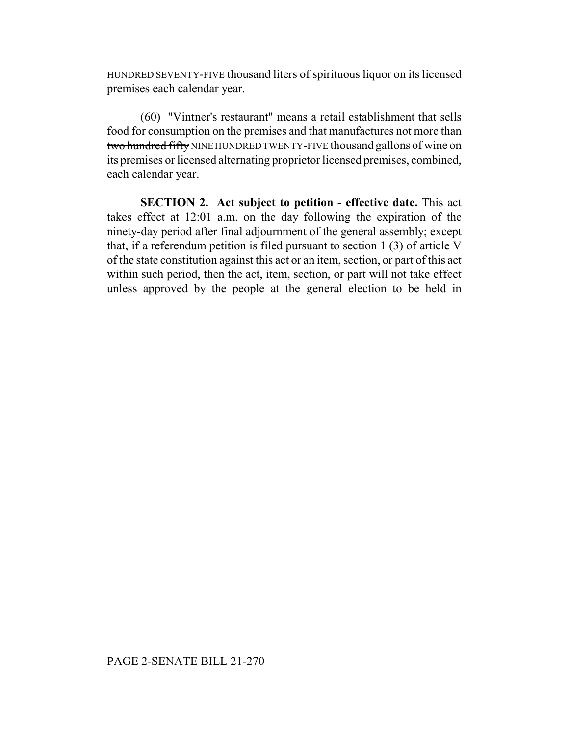HUNDRED SEVENTY-FIVE thousand liters of spirituous liquor on its licensed premises each calendar year.

(60) "Vintner's restaurant" means a retail establishment that sells food for consumption on the premises and that manufactures not more than two hundred fifty NINE HUNDRED TWENTY-FIVE thousand gallons of wine on its premises or licensed alternating proprietor licensed premises, combined, each calendar year.

**SECTION 2. Act subject to petition - effective date.** This act takes effect at 12:01 a.m. on the day following the expiration of the ninety-day period after final adjournment of the general assembly; except that, if a referendum petition is filed pursuant to section 1 (3) of article V of the state constitution against this act or an item, section, or part of this act within such period, then the act, item, section, or part will not take effect unless approved by the people at the general election to be held in